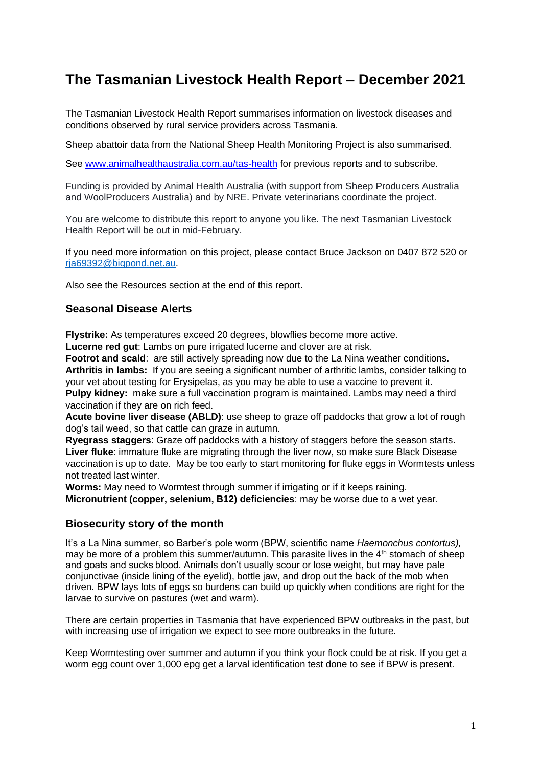# **The Tasmanian Livestock Health Report – December 2021**

The Tasmanian Livestock Health Report summarises information on livestock diseases and conditions observed by rural service providers across Tasmania.

Sheep abattoir data from the National Sheep Health Monitoring Project is also summarised.

See [www.animalhealthaustralia.com.au/tas-health](http://www.animalhealthaustralia.com.au/tas-health) for previous reports and to subscribe.

Funding is provided by Animal Health Australia (with support from Sheep Producers Australia and WoolProducers Australia) and by NRE. Private veterinarians coordinate the project.

You are welcome to distribute this report to anyone you like. The next Tasmanian Livestock Health Report will be out in mid-February.

If you need more information on this project, please contact Bruce Jackson on 0407 872 520 or [rja69392@bigpond.net.au.](mailto:rja69392@bigpond.net.au)

Also see the Resources section at the end of this report.

#### **Seasonal Disease Alerts**

**Flystrike:** As temperatures exceed 20 degrees, blowflies become more active. **Lucerne red gut**: Lambs on pure irrigated lucerne and clover are at risk.

**Footrot and scald**: are still actively spreading now due to the La Nina weather conditions. **Arthritis in lambs:** If you are seeing a significant number of arthritic lambs, consider talking to your vet about testing for Erysipelas, as you may be able to use a vaccine to prevent it. **Pulpy kidney:** make sure a full vaccination program is maintained. Lambs may need a third vaccination if they are on rich feed.

**Acute bovine liver disease (ABLD)**: use sheep to graze off paddocks that grow a lot of rough dog's tail weed, so that cattle can graze in autumn.

**Ryegrass staggers**: Graze off paddocks with a history of staggers before the season starts. **Liver fluke**: immature fluke are migrating through the liver now, so make sure Black Disease vaccination is up to date. May be too early to start monitoring for fluke eggs in Wormtests unless not treated last winter.

**Worms:** May need to Wormtest through summer if irrigating or if it keeps raining. **Micronutrient (copper, selenium, B12) deficiencies**: may be worse due to a wet year.

#### **Biosecurity story of the month**

It's a La Nina summer, so Barber's pole worm (BPW, scientific name *Haemonchus contortus),* may be more of a problem this summer/autumn. This parasite lives in the 4<sup>th</sup> stomach of sheep and goats and sucks blood. Animals don't usually scour or lose weight, but may have pale conjunctivae (inside lining of the eyelid), bottle jaw, and drop out the back of the mob when driven. BPW lays lots of eggs so burdens can build up quickly when conditions are right for the larvae to survive on pastures (wet and warm). 

There are certain properties in Tasmania that have experienced BPW outbreaks in the past, but with increasing use of irrigation we expect to see more outbreaks in the future.

Keep Wormtesting over summer and autumn if you think your flock could be at risk. If you get a worm egg count over 1,000 epg get a larval identification test done to see if BPW is present.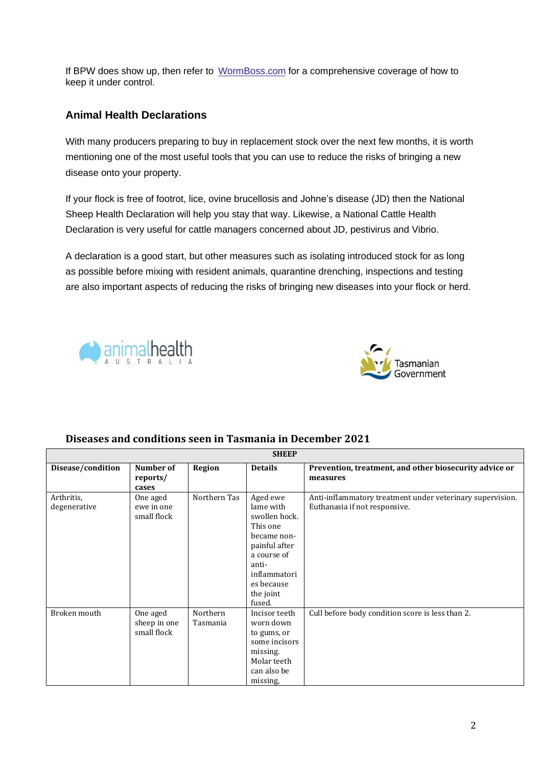If BPW does show up, then refer to [WormBoss.com](http://www.wormboss.com.au/sheep-goats/) for a comprehensive coverage of how to keep it under control.

# **Animal Health Declarations**

With many producers preparing to buy in replacement stock over the next few months, it is worth mentioning one of the most useful tools that you can use to reduce the risks of bringing a new disease onto your property.

If your flock is free of footrot, lice, ovine brucellosis and Johne's disease (JD) then the National Sheep Health Declaration will help you stay that way. Likewise, a National Cattle Health Declaration is very useful for cattle managers concerned about JD, pestivirus and Vibrio.

A declaration is a good start, but other measures such as isolating introduced stock for as long as possible before mixing with resident animals, quarantine drenching, inspections and testing are also important aspects of reducing the risks of bringing new diseases into your flock or herd.





#### **SHEEP Disease/condition Number of reports/ cases Region Details Prevention, treatment, and other biosecurity advice or measures**  Arthritis, degenerative One aged ewe in one small flock Northern Tas Aged ewe lame with swollen hock. This one became nonpainful after a course of antiinflammatori es because the joint fused. Anti-inflammatory treatment under veterinary supervision. Euthanasia if not responsive. Broken mouth One aged sheep in one small flock Northern Tasmania Incisor teeth worn down to gums, or some incisors missing. Molar teeth can also be missing, Cull before body condition score is less than 2.

## **Diseases and conditions seen in Tasmania in December 2021**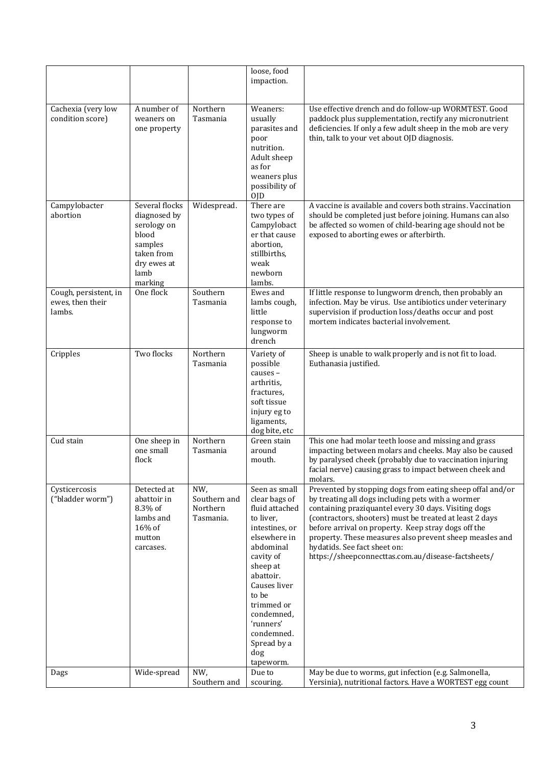|                                                     |                                                                                                                   |                                              | loose, food<br>impaction.                                                                                                                                                                                                                                             |                                                                                                                                                                                                                                                                                                                                                                                                                                           |
|-----------------------------------------------------|-------------------------------------------------------------------------------------------------------------------|----------------------------------------------|-----------------------------------------------------------------------------------------------------------------------------------------------------------------------------------------------------------------------------------------------------------------------|-------------------------------------------------------------------------------------------------------------------------------------------------------------------------------------------------------------------------------------------------------------------------------------------------------------------------------------------------------------------------------------------------------------------------------------------|
| Cachexia (very low<br>condition score)              | A number of<br>weaners on<br>one property                                                                         | Northern<br>Tasmania                         | Weaners:<br>usually<br>parasites and<br>poor<br>nutrition.<br>Adult sheep<br>as for<br>weaners plus<br>possibility of<br>0JD                                                                                                                                          | Use effective drench and do follow-up WORMTEST. Good<br>paddock plus supplementation, rectify any micronutrient<br>deficiencies. If only a few adult sheep in the mob are very<br>thin, talk to your vet about OJD diagnosis.                                                                                                                                                                                                             |
| Campylobacter<br>abortion                           | Several flocks<br>diagnosed by<br>serology on<br>blood<br>samples<br>taken from<br>dry ewes at<br>lamb<br>marking | Widespread.                                  | There are<br>two types of<br>Campylobact<br>er that cause<br>abortion,<br>stillbirths,<br>weak<br>newborn<br>lambs.                                                                                                                                                   | A vaccine is available and covers both strains. Vaccination<br>should be completed just before joining. Humans can also<br>be affected so women of child-bearing age should not be<br>exposed to aborting ewes or afterbirth.                                                                                                                                                                                                             |
| Cough, persistent, in<br>ewes, then their<br>lambs. | One flock                                                                                                         | Southern<br>Tasmania                         | Ewes and<br>lambs cough,<br>little<br>response to<br>lungworm<br>drench                                                                                                                                                                                               | If little response to lungworm drench, then probably an<br>infection. May be virus. Use antibiotics under veterinary<br>supervision if production loss/deaths occur and post<br>mortem indicates bacterial involvement.                                                                                                                                                                                                                   |
| Cripples                                            | Two flocks                                                                                                        | Northern<br>Tasmania                         | Variety of<br>possible<br>causes -<br>arthritis,<br>fractures,<br>soft tissue<br>injury eg to<br>ligaments,<br>dog bite, etc                                                                                                                                          | Sheep is unable to walk properly and is not fit to load.<br>Euthanasia justified.                                                                                                                                                                                                                                                                                                                                                         |
| Cud stain                                           | One sheep in<br>one small<br>flock                                                                                | Northern<br>Tasmania                         | Green stain<br>around<br>mouth.                                                                                                                                                                                                                                       | This one had molar teeth loose and missing and grass<br>impacting between molars and cheeks. May also be caused<br>by paralysed cheek (probably due to vaccination injuring<br>facial nerve) causing grass to impact between cheek and<br>molars.                                                                                                                                                                                         |
| Cysticercosis<br>("bladder worm")                   | Detected at<br>abattoir in<br>8.3% of<br>lambs and<br>16% of<br>mutton<br>carcases.                               | NW,<br>Southern and<br>Northern<br>Tasmania. | Seen as small<br>clear bags of<br>fluid attached<br>to liver,<br>intestines, or<br>elsewhere in<br>abdominal<br>cavity of<br>sheep at<br>abattoir.<br>Causes liver<br>to be<br>trimmed or<br>condemned,<br>'runners'<br>condemned.<br>Spread by a<br>dog<br>tapeworm. | Prevented by stopping dogs from eating sheep offal and/or<br>by treating all dogs including pets with a wormer<br>containing praziquantel every 30 days. Visiting dogs<br>(contractors, shooters) must be treated at least 2 days<br>before arrival on property. Keep stray dogs off the<br>property. These measures also prevent sheep measles and<br>hydatids. See fact sheet on:<br>https://sheepconnecttas.com.au/disease-factsheets/ |
| Dags                                                | Wide-spread                                                                                                       | NW,<br>Southern and                          | Due to<br>scouring.                                                                                                                                                                                                                                                   | May be due to worms, gut infection (e.g. Salmonella,<br>Yersinia), nutritional factors. Have a WORTEST egg count                                                                                                                                                                                                                                                                                                                          |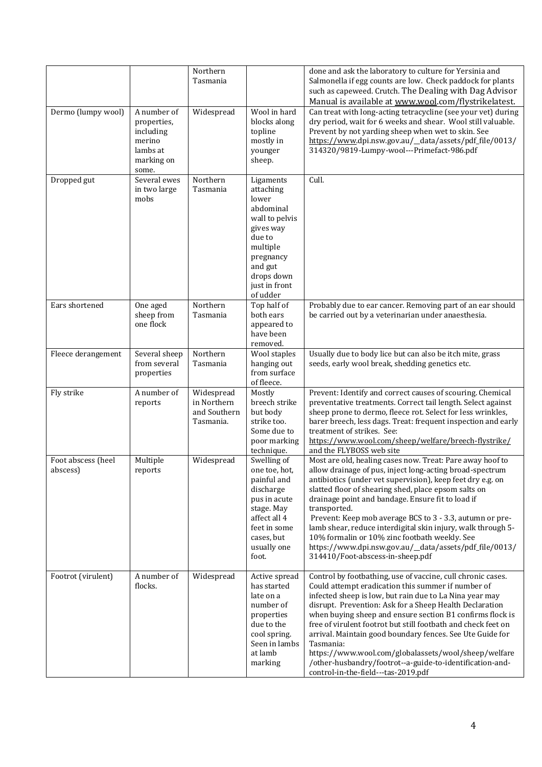|                                |                                                                                      | Northern<br>Tasmania                                   |                                                                                                                                                                      | done and ask the laboratory to culture for Yersinia and<br>Salmonella if egg counts are low. Check paddock for plants<br>such as capeweed. Crutch. The Dealing with Dag Advisor<br>Manual is available at www.wool.com/flystrikelatest.                                                                                                                                                                                                                                                                                                                                                                    |
|--------------------------------|--------------------------------------------------------------------------------------|--------------------------------------------------------|----------------------------------------------------------------------------------------------------------------------------------------------------------------------|------------------------------------------------------------------------------------------------------------------------------------------------------------------------------------------------------------------------------------------------------------------------------------------------------------------------------------------------------------------------------------------------------------------------------------------------------------------------------------------------------------------------------------------------------------------------------------------------------------|
| Dermo (lumpy wool)             | A number of<br>properties,<br>including<br>merino<br>lambs at<br>marking on<br>some. | Widespread                                             | Wool in hard<br>blocks along<br>topline<br>mostly in<br>younger<br>sheep.                                                                                            | Can treat with long-acting tetracycline (see your vet) during<br>dry period, wait for 6 weeks and shear. Wool still valuable.<br>Prevent by not yarding sheep when wet to skin. See<br>https://www.dpi.nsw.gov.au/_data/assets/pdf_file/0013/<br>314320/9819-Lumpy-wool---Primefact-986.pdf                                                                                                                                                                                                                                                                                                                |
| Dropped gut                    | Several ewes<br>in two large<br>mobs                                                 | Northern<br>Tasmania                                   | Ligaments<br>attaching<br>lower<br>abdominal<br>wall to pelvis<br>gives way<br>due to<br>multiple<br>pregnancy<br>and gut<br>drops down<br>just in front<br>of udder | Cull.                                                                                                                                                                                                                                                                                                                                                                                                                                                                                                                                                                                                      |
| Ears shortened                 | One aged<br>sheep from<br>one flock                                                  | Northern<br>Tasmania                                   | Top half of<br>both ears<br>appeared to<br>have been<br>removed.                                                                                                     | Probably due to ear cancer. Removing part of an ear should<br>be carried out by a veterinarian under anaesthesia.                                                                                                                                                                                                                                                                                                                                                                                                                                                                                          |
| Fleece derangement             | Several sheep<br>from several<br>properties                                          | Northern<br>Tasmania                                   | Wool staples<br>hanging out<br>from surface<br>of fleece.                                                                                                            | Usually due to body lice but can also be itch mite, grass<br>seeds, early wool break, shedding genetics etc.                                                                                                                                                                                                                                                                                                                                                                                                                                                                                               |
| Fly strike                     | A number of<br>reports                                                               | Widespread<br>in Northern<br>and Southern<br>Tasmania. | Mostly<br>breech strike<br>but body<br>strike too.<br>Some due to<br>poor marking<br>technique.                                                                      | Prevent: Identify and correct causes of scouring. Chemical<br>preventative treatments. Correct tail length. Select against<br>sheep prone to dermo, fleece rot. Select for less wrinkles,<br>barer breech, less dags. Treat: frequent inspection and early<br>treatment of strikes. See:<br>https://www.wool.com/sheep/welfare/breech-flystrike/<br>and the FLYBOSS web site                                                                                                                                                                                                                               |
| Foot abscess (heel<br>abscess) | Multiple<br>reports                                                                  | Widespread                                             | Swelling of<br>one toe, hot,<br>painful and<br>discharge<br>pus in acute<br>stage. May<br>affect all 4<br>feet in some<br>cases, but<br>usually one<br>foot.         | Most are old, healing cases now. Treat: Pare away hoof to<br>allow drainage of pus, inject long-acting broad-spectrum<br>antibiotics (under vet supervision), keep feet dry e.g. on<br>slatted floor of shearing shed, place epsom salts on<br>drainage point and bandage. Ensure fit to load if<br>transported.<br>Prevent: Keep mob average BCS to 3 - 3.3, autumn or pre-<br>lamb shear, reduce interdigital skin injury, walk through 5-<br>10% formalin or 10% zinc footbath weekly. See<br>https://www.dpi.nsw.gov.au/_data/assets/pdf_file/0013/<br>314410/Foot-abscess-in-sheep.pdf                |
| Footrot (virulent)             | A number of<br>flocks.                                                               | Widespread                                             | Active spread<br>has started<br>late on a<br>number of<br>properties<br>due to the<br>cool spring.<br>Seen in lambs<br>at lamb<br>marking                            | Control by footbathing, use of vaccine, cull chronic cases.<br>Could attempt eradication this summer if number of<br>infected sheep is low, but rain due to La Nina year may<br>disrupt. Prevention: Ask for a Sheep Health Declaration<br>when buying sheep and ensure section B1 confirms flock is<br>free of virulent footrot but still footbath and check feet on<br>arrival. Maintain good boundary fences. See Ute Guide for<br>Tasmania:<br>https://www.wool.com/globalassets/wool/sheep/welfare<br>/other-husbandry/footrot--a-guide-to-identification-and-<br>control-in-the-field---tas-2019.pdf |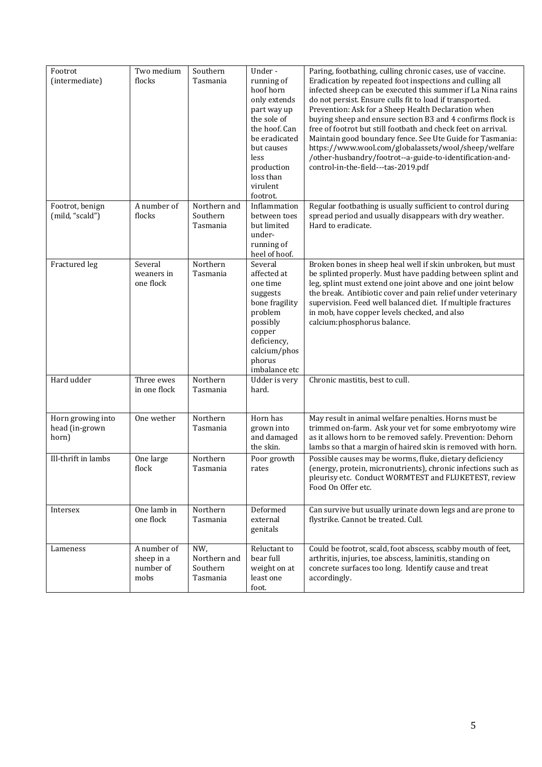| Footrot                                      | Two medium                                     | Southern                                    | Under-                                                                                                                                                                           | Paring, footbathing, culling chronic cases, use of vaccine.                                                                                                                                                                                                                                                                                                                                                                                                                                                                                                                                       |
|----------------------------------------------|------------------------------------------------|---------------------------------------------|----------------------------------------------------------------------------------------------------------------------------------------------------------------------------------|---------------------------------------------------------------------------------------------------------------------------------------------------------------------------------------------------------------------------------------------------------------------------------------------------------------------------------------------------------------------------------------------------------------------------------------------------------------------------------------------------------------------------------------------------------------------------------------------------|
| (intermediate)                               | flocks<br>A number of                          | Tasmania                                    | running of<br>hoof horn<br>only extends<br>part way up<br>the sole of<br>the hoof. Can<br>be eradicated<br>but causes<br>less<br>production<br>loss than<br>virulent<br>footrot. | Eradication by repeated foot inspections and culling all<br>infected sheep can be executed this summer if La Nina rains<br>do not persist. Ensure culls fit to load if transported.<br>Prevention: Ask for a Sheep Health Declaration when<br>buying sheep and ensure section B3 and 4 confirms flock is<br>free of footrot but still footbath and check feet on arrival.<br>Maintain good boundary fence. See Ute Guide for Tasmania:<br>https://www.wool.com/globalassets/wool/sheep/welfare<br>/other-husbandry/footrot--a-guide-to-identification-and-<br>control-in-the-field---tas-2019.pdf |
| Footrot, benign<br>(mild, "scald")           | flocks                                         | Northern and<br>Southern<br>Tasmania        | Inflammation<br>between toes<br>but limited<br>under-<br>running of<br>heel of hoof.                                                                                             | Regular footbathing is usually sufficient to control during<br>spread period and usually disappears with dry weather.<br>Hard to eradicate.                                                                                                                                                                                                                                                                                                                                                                                                                                                       |
| Fractured leg                                | Several<br>weaners in<br>one flock             | Northern<br>Tasmania                        | Several<br>affected at<br>one time<br>suggests<br>bone fragility<br>problem<br>possibly<br>copper<br>deficiency,<br>calcium/phos<br>phorus<br>imbalance etc                      | Broken bones in sheep heal well if skin unbroken, but must<br>be splinted properly. Must have padding between splint and<br>leg, splint must extend one joint above and one joint below<br>the break. Antibiotic cover and pain relief under veterinary<br>supervision. Feed well balanced diet. If multiple fractures<br>in mob, have copper levels checked, and also<br>calcium:phosphorus balance.                                                                                                                                                                                             |
| Hard udder                                   | Three ewes<br>in one flock                     | Northern<br>Tasmania                        | Udder is very<br>hard.                                                                                                                                                           | Chronic mastitis, best to cull.                                                                                                                                                                                                                                                                                                                                                                                                                                                                                                                                                                   |
| Horn growing into<br>head (in-grown<br>horn) | One wether                                     | Northern<br>Tasmania                        | Horn has<br>grown into<br>and damaged<br>the skin.                                                                                                                               | May result in animal welfare penalties. Horns must be<br>trimmed on-farm. Ask your vet for some embryotomy wire<br>as it allows horn to be removed safely. Prevention: Dehorn<br>lambs so that a margin of haired skin is removed with horn.                                                                                                                                                                                                                                                                                                                                                      |
| Ill-thrift in lambs                          | One large<br>flock                             | Northern<br>Tasmania                        | Poor growth<br>rates                                                                                                                                                             | Possible causes may be worms, fluke, dietary deficiency<br>(energy, protein, micronutrients), chronic infections such as<br>pleurisy etc. Conduct WORMTEST and FLUKETEST, review<br>Food On Offer etc.                                                                                                                                                                                                                                                                                                                                                                                            |
| Intersex                                     | One lamb in<br>one flock                       | Northern<br>Tasmania                        | Deformed<br>external<br>genitals                                                                                                                                                 | Can survive but usually urinate down legs and are prone to<br>flystrike. Cannot be treated. Cull.                                                                                                                                                                                                                                                                                                                                                                                                                                                                                                 |
| Lameness                                     | A number of<br>sheep in a<br>number of<br>mobs | NW,<br>Northern and<br>Southern<br>Tasmania | Reluctant to<br>bear full<br>weight on at<br>least one<br>foot.                                                                                                                  | Could be footrot, scald, foot abscess, scabby mouth of feet,<br>arthritis, injuries, toe abscess, laminitis, standing on<br>concrete surfaces too long. Identify cause and treat<br>accordingly.                                                                                                                                                                                                                                                                                                                                                                                                  |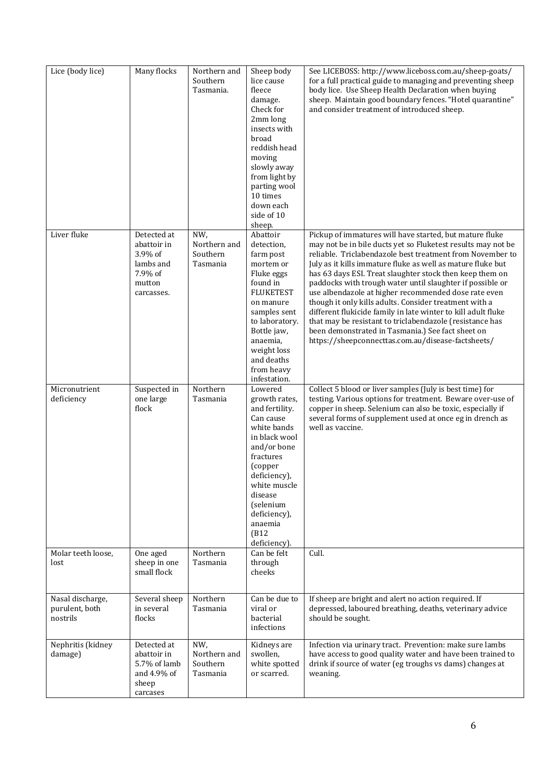| Lice (body lice)                               | Many flocks                                                                           | Northern and<br>Southern<br>Tasmania.       | Sheep body<br>lice cause<br>fleece<br>damage.<br>Check for<br>2mm long<br>insects with<br>broad<br>reddish head<br>moving<br>slowly away<br>from light by<br>parting wool<br>10 times<br>down each<br>side of 10<br>sheep.                 | See LICEBOSS: http://www.liceboss.com.au/sheep-goats/<br>for a full practical guide to managing and preventing sheep<br>body lice. Use Sheep Health Declaration when buying<br>sheep. Maintain good boundary fences. "Hotel quarantine"<br>and consider treatment of introduced sheep.                                                                                                                                                                                                                                                                                                                                                                                                                                                 |
|------------------------------------------------|---------------------------------------------------------------------------------------|---------------------------------------------|--------------------------------------------------------------------------------------------------------------------------------------------------------------------------------------------------------------------------------------------|----------------------------------------------------------------------------------------------------------------------------------------------------------------------------------------------------------------------------------------------------------------------------------------------------------------------------------------------------------------------------------------------------------------------------------------------------------------------------------------------------------------------------------------------------------------------------------------------------------------------------------------------------------------------------------------------------------------------------------------|
| Liver fluke                                    | Detected at<br>abattoir in<br>3.9% of<br>lambs and<br>7.9% of<br>mutton<br>carcasses. | NW,<br>Northern and<br>Southern<br>Tasmania | Abattoir<br>detection,<br>farm post<br>mortem or<br>Fluke eggs<br>found in<br><b>FLUKETEST</b><br>on manure<br>samples sent<br>to laboratory.<br>Bottle jaw,<br>anaemia,<br>weight loss<br>and deaths<br>from heavy<br>infestation.        | Pickup of immatures will have started, but mature fluke<br>may not be in bile ducts yet so Fluketest results may not be<br>reliable. Triclabendazole best treatment from November to<br>July as it kills immature fluke as well as mature fluke but<br>has 63 days ESI. Treat slaughter stock then keep them on<br>paddocks with trough water until slaughter if possible or<br>use albendazole at higher recommended dose rate even<br>though it only kills adults. Consider treatment with a<br>different flukicide family in late winter to kill adult fluke<br>that may be resistant to triclabendazole (resistance has<br>been demonstrated in Tasmania.) See fact sheet on<br>https://sheepconnecttas.com.au/disease-factsheets/ |
| Micronutrient<br>deficiency                    | Suspected in<br>one large<br>flock                                                    | Northern<br>Tasmania                        | Lowered<br>growth rates,<br>and fertility.<br>Can cause<br>white bands<br>in black wool<br>and/or bone<br>fractures<br>(copper<br>deficiency),<br>white muscle<br>disease<br>(selenium<br>deficiency),<br>anaemia<br>(B12)<br>deficiency). | Collect 5 blood or liver samples (July is best time) for<br>testing. Various options for treatment. Beware over-use of<br>copper in sheep. Selenium can also be toxic, especially if<br>several forms of supplement used at once eg in drench as<br>well as vaccine.                                                                                                                                                                                                                                                                                                                                                                                                                                                                   |
| Molar teeth loose,<br>lost                     | One aged<br>sheep in one<br>small flock                                               | Northern<br>Tasmania                        | Can be felt<br>through<br>cheeks                                                                                                                                                                                                           | Cull.                                                                                                                                                                                                                                                                                                                                                                                                                                                                                                                                                                                                                                                                                                                                  |
| Nasal discharge,<br>purulent, both<br>nostrils | Several sheep<br>in several<br>flocks                                                 | Northern<br>Tasmania                        | Can be due to<br>viral or<br>bacterial<br>infections                                                                                                                                                                                       | If sheep are bright and alert no action required. If<br>depressed, laboured breathing, deaths, veterinary advice<br>should be sought.                                                                                                                                                                                                                                                                                                                                                                                                                                                                                                                                                                                                  |
| Nephritis (kidney<br>damage)                   | Detected at<br>abattoir in<br>5.7% of lamb<br>and 4.9% of<br>sheep<br>carcases        | NW,<br>Northern and<br>Southern<br>Tasmania | Kidneys are<br>swollen,<br>white spotted<br>or scarred.                                                                                                                                                                                    | Infection via urinary tract. Prevention: make sure lambs<br>have access to good quality water and have been trained to<br>drink if source of water (eg troughs vs dams) changes at<br>weaning.                                                                                                                                                                                                                                                                                                                                                                                                                                                                                                                                         |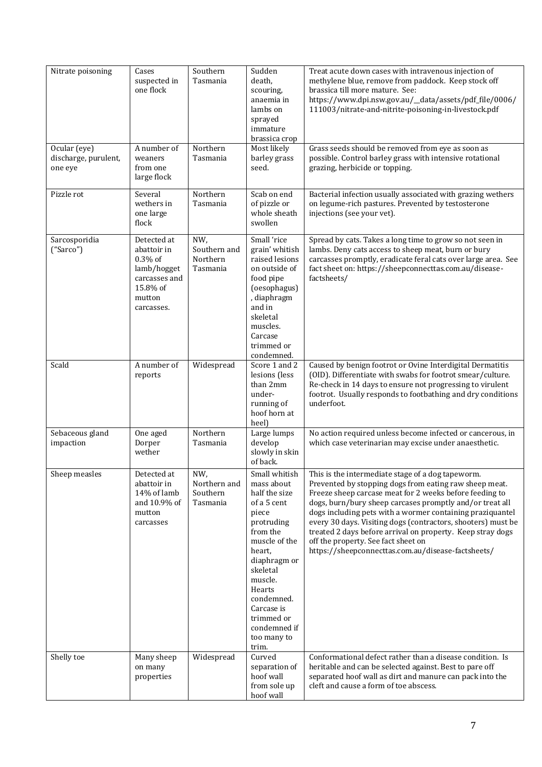| Nitrate poisoning                               | Cases<br>suspected in<br>one flock                                                                           | Southern<br>Tasmania                        | Sudden<br>death,<br>scouring,<br>anaemia in<br>lambs on<br>sprayed<br>immature<br>brassica crop                                                                                                                                                              | Treat acute down cases with intravenous injection of<br>methylene blue, remove from paddock. Keep stock off<br>brassica till more mature. See:<br>https://www.dpi.nsw.gov.au/_data/assets/pdf_file/0006/<br>111003/nitrate-and-nitrite-poisoning-in-livestock.pdf                                                                                                                                                                                                                                                          |
|-------------------------------------------------|--------------------------------------------------------------------------------------------------------------|---------------------------------------------|--------------------------------------------------------------------------------------------------------------------------------------------------------------------------------------------------------------------------------------------------------------|----------------------------------------------------------------------------------------------------------------------------------------------------------------------------------------------------------------------------------------------------------------------------------------------------------------------------------------------------------------------------------------------------------------------------------------------------------------------------------------------------------------------------|
| Ocular (eye)<br>discharge, purulent,<br>one eye | A number of<br>weaners<br>from one<br>large flock                                                            | Northern<br>Tasmania                        | Most likely<br>barley grass<br>seed.                                                                                                                                                                                                                         | Grass seeds should be removed from eye as soon as<br>possible. Control barley grass with intensive rotational<br>grazing, herbicide or topping.                                                                                                                                                                                                                                                                                                                                                                            |
| Pizzle rot                                      | Several<br>wethers in<br>one large<br>flock                                                                  | Northern<br>Tasmania                        | Scab on end<br>of pizzle or<br>whole sheath<br>swollen                                                                                                                                                                                                       | Bacterial infection usually associated with grazing wethers<br>on legume-rich pastures. Prevented by testosterone<br>injections (see your vet).                                                                                                                                                                                                                                                                                                                                                                            |
| Sarcosporidia<br>("Sarco")                      | Detected at<br>abattoir in<br>$0.3\%$ of<br>lamb/hogget<br>carcasses and<br>15.8% of<br>mutton<br>carcasses. | NW,<br>Southern and<br>Northern<br>Tasmania | Small 'rice<br>grain' whitish<br>raised lesions<br>on outside of<br>food pipe<br>(oesophagus)<br>, diaphragm<br>and in<br>skeletal<br>muscles.<br>Carcase<br>trimmed or<br>condemned.                                                                        | Spread by cats. Takes a long time to grow so not seen in<br>lambs. Deny cats access to sheep meat, burn or bury<br>carcasses promptly, eradicate feral cats over large area. See<br>fact sheet on: https://sheepconnecttas.com.au/disease-<br>factsheets/                                                                                                                                                                                                                                                                  |
| Scald                                           | A number of<br>reports                                                                                       | Widespread                                  | Score 1 and 2<br>lesions (less<br>than 2mm<br>under-<br>running of<br>hoof horn at<br>heel)                                                                                                                                                                  | Caused by benign footrot or Ovine Interdigital Dermatitis<br>(OID). Differentiate with swabs for footrot smear/culture.<br>Re-check in 14 days to ensure not progressing to virulent<br>footrot. Usually responds to footbathing and dry conditions<br>underfoot.                                                                                                                                                                                                                                                          |
| Sebaceous gland<br>impaction                    | One aged<br>Dorper<br>wether                                                                                 | Northern<br>Tasmania                        | Large lumps<br>develop<br>slowly in skin<br>of back.                                                                                                                                                                                                         | No action required unless become infected or cancerous, in<br>which case veterinarian may excise under anaesthetic.                                                                                                                                                                                                                                                                                                                                                                                                        |
| Sheep measles                                   | Detected at<br>abattoir in<br>14% of lamb<br>and 10.9% of<br>mutton<br>carcasses                             | NW,<br>Northern and<br>Southern<br>Tasmania | Small whitish<br>mass about<br>half the size<br>of a 5 cent<br>piece<br>protruding<br>from the<br>muscle of the<br>heart,<br>diaphragm or<br>skeletal<br>muscle.<br>Hearts<br>condemned.<br>Carcase is<br>trimmed or<br>condemned if<br>too many to<br>trim. | This is the intermediate stage of a dog tapeworm.<br>Prevented by stopping dogs from eating raw sheep meat.<br>Freeze sheep carcase meat for 2 weeks before feeding to<br>dogs, burn/bury sheep carcases promptly and/or treat all<br>dogs including pets with a wormer containing praziquantel<br>every 30 days. Visiting dogs (contractors, shooters) must be<br>treated 2 days before arrival on property. Keep stray dogs<br>off the property. See fact sheet on<br>https://sheepconnecttas.com.au/disease-factsheets/ |
| Shelly toe                                      | Many sheep<br>on many<br>properties                                                                          | Widespread                                  | Curved<br>separation of<br>hoof wall<br>from sole up<br>hoof wall                                                                                                                                                                                            | Conformational defect rather than a disease condition. Is<br>heritable and can be selected against. Best to pare off<br>separated hoof wall as dirt and manure can pack into the<br>cleft and cause a form of toe abscess.                                                                                                                                                                                                                                                                                                 |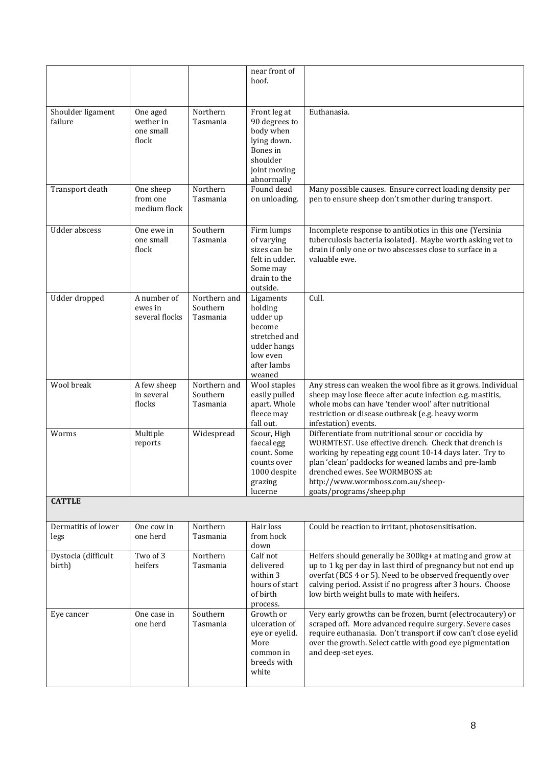|                               |                                             |                                      | near front of<br>hoof.                                                                                          |                                                                                                                                                                                                                                                                                                                                   |
|-------------------------------|---------------------------------------------|--------------------------------------|-----------------------------------------------------------------------------------------------------------------|-----------------------------------------------------------------------------------------------------------------------------------------------------------------------------------------------------------------------------------------------------------------------------------------------------------------------------------|
| Shoulder ligament<br>failure  | One aged<br>wether in<br>one small<br>flock | Northern<br>Tasmania                 | Front leg at<br>90 degrees to<br>body when<br>lying down.<br>Bones in<br>shoulder<br>joint moving<br>abnormally | Euthanasia.                                                                                                                                                                                                                                                                                                                       |
| Transport death               | One sheep<br>from one<br>medium flock       | Northern<br>Tasmania                 | Found dead<br>on unloading.                                                                                     | Many possible causes. Ensure correct loading density per<br>pen to ensure sheep don't smother during transport.                                                                                                                                                                                                                   |
| <b>Udder</b> abscess          | One ewe in<br>one small<br>flock            | Southern<br>Tasmania                 | Firm lumps<br>of varying<br>sizes can be<br>felt in udder.<br>Some may<br>drain to the<br>outside.              | Incomplete response to antibiotics in this one (Yersinia<br>tuberculosis bacteria isolated). Maybe worth asking vet to<br>drain if only one or two abscesses close to surface in a<br>valuable ewe.                                                                                                                               |
| Udder dropped                 | A number of<br>ewes in<br>several flocks    | Northern and<br>Southern<br>Tasmania | Ligaments<br>holding<br>udder up<br>become<br>stretched and<br>udder hangs<br>low even<br>after lambs<br>weaned | Cull.                                                                                                                                                                                                                                                                                                                             |
| Wool break                    | A few sheep<br>in several<br>flocks         | Northern and<br>Southern<br>Tasmania | Wool staples<br>easily pulled<br>apart. Whole<br>fleece may<br>fall out.                                        | Any stress can weaken the wool fibre as it grows. Individual<br>sheep may lose fleece after acute infection e.g. mastitis,<br>whole mobs can have 'tender wool' after nutritional<br>restriction or disease outbreak (e.g. heavy worm<br>infestation) events.                                                                     |
| Worms                         | Multiple<br>reports                         | Widespread                           | Scour, High<br>faecal egg<br>count. Some<br>counts over<br>1000 despite<br>grazing<br>lucerne                   | Differentiate from nutritional scour or coccidia by<br>WORMTEST. Use effective drench. Check that drench is<br>working by repeating egg count 10-14 days later. Try to<br>plan 'clean' paddocks for weaned lambs and pre-lamb<br>drenched ewes. See WORMBOSS at:<br>http://www.wormboss.com.au/sheep-<br>goats/programs/sheep.php |
| <b>CATTLE</b>                 |                                             |                                      |                                                                                                                 |                                                                                                                                                                                                                                                                                                                                   |
| Dermatitis of lower<br>legs   | One cow in<br>one herd                      | Northern<br>Tasmania                 | Hair loss<br>from hock<br>down                                                                                  | Could be reaction to irritant, photosensitisation.                                                                                                                                                                                                                                                                                |
| Dystocia (difficult<br>birth) | Two of 3<br>heifers                         | Northern<br>Tasmania                 | Calf not<br>delivered<br>within 3<br>hours of start<br>of birth<br>process.                                     | Heifers should generally be 300kg+ at mating and grow at<br>up to 1 kg per day in last third of pregnancy but not end up<br>overfat (BCS 4 or 5). Need to be observed frequently over<br>calving period. Assist if no progress after 3 hours. Choose<br>low birth weight bulls to mate with heifers.                              |
| Eye cancer                    | One case in<br>one herd                     | Southern<br>Tasmania                 | Growth or<br>ulceration of<br>eye or eyelid.<br>More<br>common in<br>breeds with<br>white                       | Very early growths can be frozen, burnt (electrocautery) or<br>scraped off. More advanced require surgery. Severe cases<br>require euthanasia. Don't transport if cow can't close eyelid<br>over the growth. Select cattle with good eye pigmentation<br>and deep-set eyes.                                                       |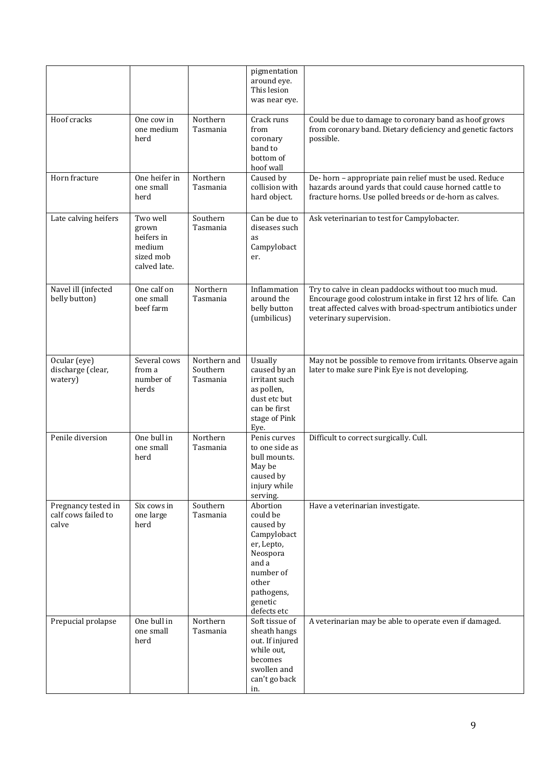|                                                     |                                                                        |                                      | pigmentation<br>around eye.<br>This lesion<br>was near eye.                                                                                       |                                                                                                                                                                                                                |
|-----------------------------------------------------|------------------------------------------------------------------------|--------------------------------------|---------------------------------------------------------------------------------------------------------------------------------------------------|----------------------------------------------------------------------------------------------------------------------------------------------------------------------------------------------------------------|
| Hoof cracks                                         | One cow in<br>one medium<br>herd                                       | Northern<br>Tasmania                 | Crack runs<br>from<br>coronary<br>band to<br>bottom of<br>hoof wall                                                                               | Could be due to damage to coronary band as hoof grows<br>from coronary band. Dietary deficiency and genetic factors<br>possible.                                                                               |
| Horn fracture                                       | One heifer in<br>one small<br>herd                                     | Northern<br>Tasmania                 | Caused by<br>collision with<br>hard object.                                                                                                       | De-horn - appropriate pain relief must be used. Reduce<br>hazards around yards that could cause horned cattle to<br>fracture horns. Use polled breeds or de-horn as calves.                                    |
| Late calving heifers                                | Two well<br>grown<br>heifers in<br>medium<br>sized mob<br>calved late. | Southern<br>Tasmania                 | Can be due to<br>diseases such<br>as<br>Campylobact<br>er.                                                                                        | Ask veterinarian to test for Campylobacter.                                                                                                                                                                    |
| Navel ill (infected<br>belly button)                | One calf on<br>one small<br>beef farm                                  | Northern<br>Tasmania                 | Inflammation<br>around the<br>belly button<br>(umbilicus)                                                                                         | Try to calve in clean paddocks without too much mud.<br>Encourage good colostrum intake in first 12 hrs of life. Can<br>treat affected calves with broad-spectrum antibiotics under<br>veterinary supervision. |
| Ocular (eye)<br>discharge (clear,<br>watery)        | Several cows<br>from a<br>number of<br>herds                           | Northern and<br>Southern<br>Tasmania | Usually<br>caused by an<br>irritant such<br>as pollen,<br>dust etc but<br>can be first<br>stage of Pink<br>Eye.                                   | May not be possible to remove from irritants. Observe again<br>later to make sure Pink Eye is not developing.                                                                                                  |
| Penile diversion                                    | One bull in<br>one small<br>herd                                       | Northern<br>Tasmania                 | Penis curves<br>to one side as<br>bull mounts.<br>May be<br>caused by<br>injury while<br>serving.                                                 | Difficult to correct surgically. Cull.                                                                                                                                                                         |
| Pregnancy tested in<br>calf cows failed to<br>calve | Six cows in<br>one large<br>herd                                       | Southern<br>Tasmania                 | Abortion<br>could be<br>caused by<br>Campylobact<br>er, Lepto,<br>Neospora<br>and a<br>number of<br>other<br>pathogens,<br>genetic<br>defects etc | Have a veterinarian investigate.                                                                                                                                                                               |
| Prepucial prolapse                                  | One bull in<br>one small<br>herd                                       | Northern<br>Tasmania                 | Soft tissue of<br>sheath hangs<br>out. If injured<br>while out,<br>becomes<br>swollen and<br>can't go back<br>in.                                 | A veterinarian may be able to operate even if damaged.                                                                                                                                                         |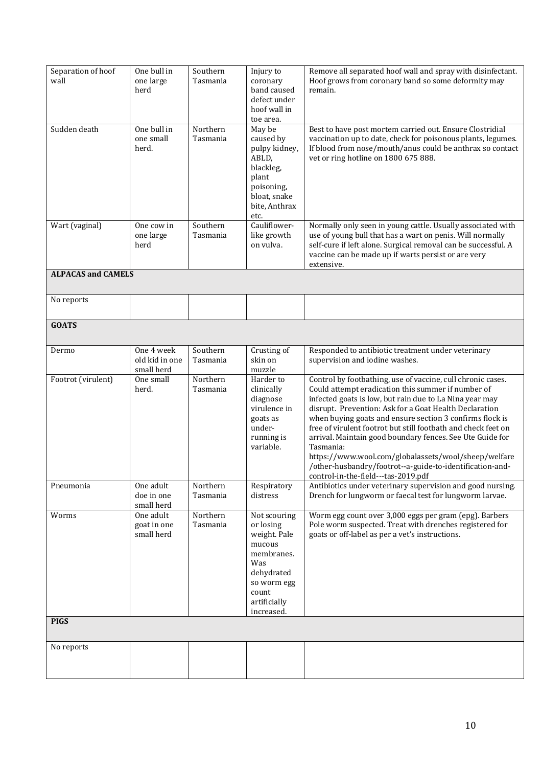| Separation of hoof<br>wall | One bull in<br>one large<br>herd           | Southern<br>Tasmania | Injury to<br>coronary<br>band caused<br>defect under<br>hoof wall in<br>toe area.                                                            | Remove all separated hoof wall and spray with disinfectant.<br>Hoof grows from coronary band so some deformity may<br>remain.                                                                                                                                                                                                                                                                                                                                                                                                                                                                            |
|----------------------------|--------------------------------------------|----------------------|----------------------------------------------------------------------------------------------------------------------------------------------|----------------------------------------------------------------------------------------------------------------------------------------------------------------------------------------------------------------------------------------------------------------------------------------------------------------------------------------------------------------------------------------------------------------------------------------------------------------------------------------------------------------------------------------------------------------------------------------------------------|
| Sudden death               | One bull in<br>one small<br>herd.          | Northern<br>Tasmania | May be<br>caused by<br>pulpy kidney,<br>ABLD,<br>blackleg,<br>plant<br>poisoning,<br>bloat, snake<br>bite, Anthrax<br>etc.                   | Best to have post mortem carried out. Ensure Clostridial<br>vaccination up to date, check for poisonous plants, legumes.<br>If blood from nose/mouth/anus could be anthrax so contact<br>vet or ring hotline on 1800 675 888.                                                                                                                                                                                                                                                                                                                                                                            |
| Wart (vaginal)             | One cow in<br>one large<br>herd            | Southern<br>Tasmania | Cauliflower-<br>like growth<br>on vulva.                                                                                                     | Normally only seen in young cattle. Usually associated with<br>use of young bull that has a wart on penis. Will normally<br>self-cure if left alone. Surgical removal can be successful. A<br>vaccine can be made up if warts persist or are very<br>extensive.                                                                                                                                                                                                                                                                                                                                          |
| <b>ALPACAS and CAMELS</b>  |                                            |                      |                                                                                                                                              |                                                                                                                                                                                                                                                                                                                                                                                                                                                                                                                                                                                                          |
| No reports                 |                                            |                      |                                                                                                                                              |                                                                                                                                                                                                                                                                                                                                                                                                                                                                                                                                                                                                          |
| <b>GOATS</b>               |                                            |                      |                                                                                                                                              |                                                                                                                                                                                                                                                                                                                                                                                                                                                                                                                                                                                                          |
| Dermo                      | One 4 week<br>old kid in one<br>small herd | Southern<br>Tasmania | Crusting of<br>skin on<br>muzzle                                                                                                             | Responded to antibiotic treatment under veterinary<br>supervision and iodine washes.                                                                                                                                                                                                                                                                                                                                                                                                                                                                                                                     |
| Footrot (virulent)         | One small<br>herd.                         | Northern<br>Tasmania | Harder to<br>clinically<br>diagnose<br>virulence in<br>goats as<br>under-<br>running is<br>variable.                                         | Control by footbathing, use of vaccine, cull chronic cases.<br>Could attempt eradication this summer if number of<br>infected goats is low, but rain due to La Nina year may<br>disrupt. Prevention: Ask for a Goat Health Declaration<br>when buying goats and ensure section 3 confirms flock is<br>free of virulent footrot but still footbath and check feet on<br>arrival. Maintain good boundary fences. See Ute Guide for<br>Tasmania:<br>https://www.wool.com/globalassets/wool/sheep/welfare<br>/other-husbandry/footrot--a-guide-to-identification-and-<br>control-in-the-field---tas-2019.pdf |
| Pneumonia                  | One adult<br>doe in one<br>small herd      | Northern<br>Tasmania | Respiratory<br>distress                                                                                                                      | Antibiotics under veterinary supervision and good nursing.<br>Drench for lungworm or faecal test for lungworm larvae.                                                                                                                                                                                                                                                                                                                                                                                                                                                                                    |
| Worms                      | One adult<br>goat in one<br>small herd     | Northern<br>Tasmania | Not scouring<br>or losing<br>weight. Pale<br>mucous<br>membranes.<br>Was<br>dehydrated<br>so worm egg<br>count<br>artificially<br>increased. | Worm egg count over 3,000 eggs per gram (epg). Barbers<br>Pole worm suspected. Treat with drenches registered for<br>goats or off-label as per a vet's instructions.                                                                                                                                                                                                                                                                                                                                                                                                                                     |
| <b>PIGS</b>                |                                            |                      |                                                                                                                                              |                                                                                                                                                                                                                                                                                                                                                                                                                                                                                                                                                                                                          |
| No reports                 |                                            |                      |                                                                                                                                              |                                                                                                                                                                                                                                                                                                                                                                                                                                                                                                                                                                                                          |
|                            |                                            |                      |                                                                                                                                              |                                                                                                                                                                                                                                                                                                                                                                                                                                                                                                                                                                                                          |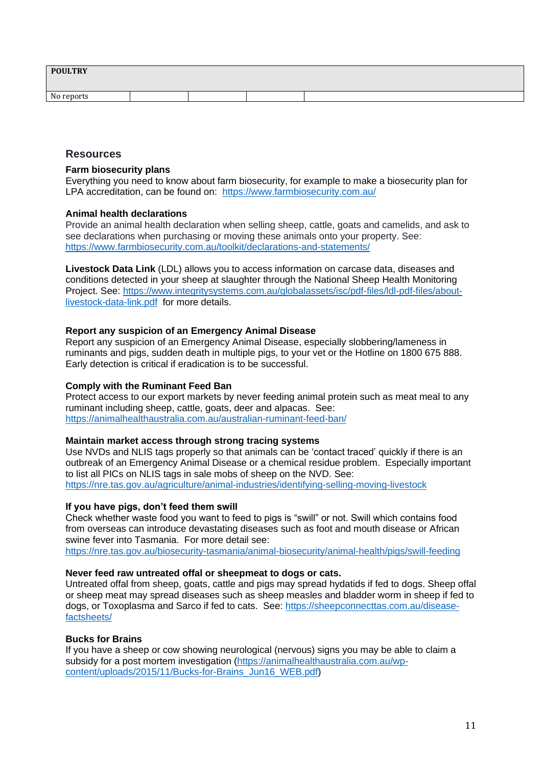| <b>POULTRY</b> |  |  |  |
|----------------|--|--|--|
| No reports     |  |  |  |

### **Resources**

#### **Farm biosecurity plans**

Everything you need to know about farm biosecurity, for example to make a biosecurity plan for LPA accreditation, can be found on: <https://www.farmbiosecurity.com.au/>

#### **Animal health declarations**

Provide an animal health declaration when selling sheep, cattle, goats and camelids, and ask to see declarations when purchasing or moving these animals onto your property. See: <https://www.farmbiosecurity.com.au/toolkit/declarations-and-statements/>

**Livestock Data Link** (LDL) allows you to access information on carcase data, diseases and conditions detected in your sheep at slaughter through the National Sheep Health Monitoring Project. See: [https://www.integritysystems.com.au/globalassets/isc/pdf-files/ldl-pdf-files/about](https://www.integritysystems.com.au/globalassets/isc/pdf-files/ldl-pdf-files/about-livestock-data-link.pdf)[livestock-data-link.pdf](https://www.integritysystems.com.au/globalassets/isc/pdf-files/ldl-pdf-files/about-livestock-data-link.pdf) for more details.

#### **Report any suspicion of an Emergency Animal Disease**

Report any suspicion of an Emergency Animal Disease, especially slobbering/lameness in ruminants and pigs, sudden death in multiple pigs, to your vet or the Hotline on 1800 675 888. Early detection is critical if eradication is to be successful.

#### **Comply with the Ruminant Feed Ban**

Protect access to our export markets by never feeding animal protein such as meat meal to any ruminant including sheep, cattle, goats, deer and alpacas. See: <https://animalhealthaustralia.com.au/australian-ruminant-feed-ban/>

#### **Maintain market access through strong tracing systems**

Use NVDs and NLIS tags properly so that animals can be 'contact traced' quickly if there is an outbreak of an Emergency Animal Disease or a chemical residue problem. Especially important to list all PICs on NLIS tags in sale mobs of sheep on the NVD. See: <https://nre.tas.gov.au/agriculture/animal-industries/identifying-selling-moving-livestock>

#### **If you have pigs, don't feed them swill**

Check whether waste food you want to feed to pigs is "swill" or not. Swill which contains food from overseas can introduce devastating diseases such as foot and mouth disease or African swine fever into Tasmania. For more detail see:

<https://nre.tas.gov.au/biosecurity-tasmania/animal-biosecurity/animal-health/pigs/swill-feeding>

#### **Never feed raw untreated offal or sheepmeat to dogs or cats.**

Untreated offal from sheep, goats, cattle and pigs may spread hydatids if fed to dogs. Sheep offal or sheep meat may spread diseases such as sheep measles and bladder worm in sheep if fed to dogs, or Toxoplasma and Sarco if fed to cats. See: [https://sheepconnecttas.com.au/disease](https://sheepconnecttas.com.au/disease-factsheets/)[factsheets/](https://sheepconnecttas.com.au/disease-factsheets/)

#### **Bucks for Brains**

If you have a sheep or cow showing neurological (nervous) signs you may be able to claim a subsidy for a post mortem investigation [\(https://animalhealthaustralia.com.au/wp](https://animalhealthaustralia.com.au/wp-content/uploads/2015/11/Bucks-for-Brains_Jun16_WEB.pdf)[content/uploads/2015/11/Bucks-for-Brains\\_Jun16\\_WEB.pdf\)](https://animalhealthaustralia.com.au/wp-content/uploads/2015/11/Bucks-for-Brains_Jun16_WEB.pdf)